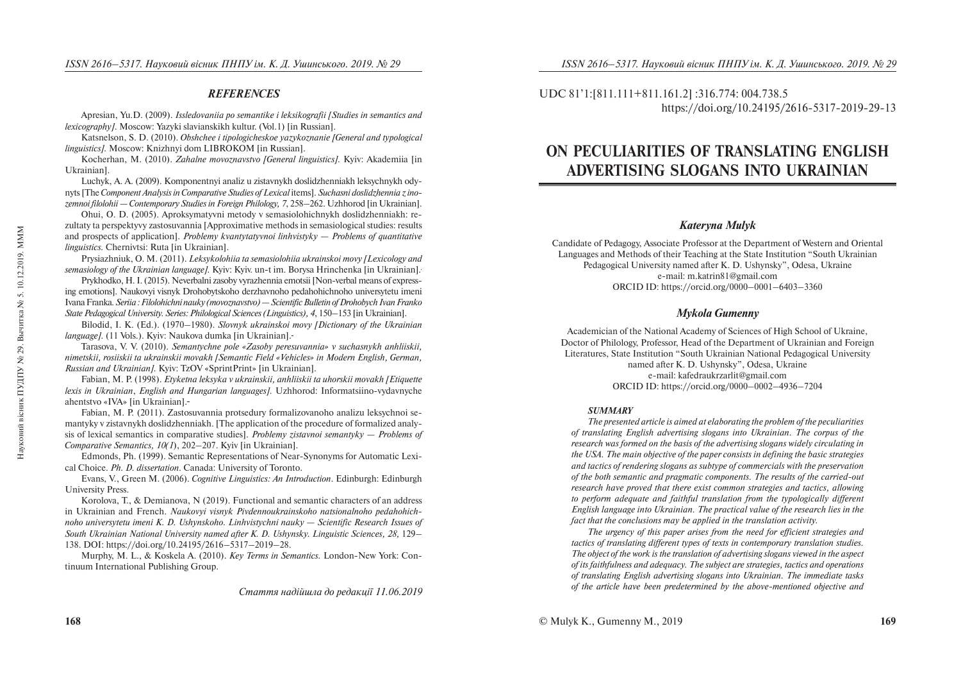## *REFERENCES*

Apresian, Yu.D. (2009). *Issledovaniia po semantike i leksikografii [Studies in semantics and lexicography]*. Moscow: Yazyki slavianskikh kultur. (Vol.1) [in Russian].

Katsnelson, S. D. (2010). *Obshchee i tipologicheskoe yazykoznanie [General and typological linguistics].* Moscow: Knizhnyi dom LIBROKOM [in Russian].

Kocherhan, M. (2010). *Zahalne movoznavstvo [General linguistics].* Kyiv: Akademiia [in Ukrainian].

Luchyk, A. A. (2009). Komponentnyi analiz u zistavnykh doslidzhenniakh leksychnykh odynyts [The *Component Analysis in Comparative Studies of Lexical* items]. *Suchasni doslidzhennia z inozemnoi filolohii — Contemporary Studies in Foreign Philology, 7*, 258–262. Uzhhorod [in Ukrainian].

Ohui, O. D. (2005). Aproksymatyvni metody v semasiolohichnykh doslidzhenniakh: rezultaty ta perspektyvy zastosuvannia [Approximative methods in semasiological studies: results and prospects of application]. *Problemy kvantytatyvnoi linhvistyky — Problems of quantitative linguistics.* Chernivtsi: Ruta [in Ukrainian].

Prysiazhniuk, O. M. (2011). *Leksykolohiia ta semasiolohiia ukrainskoi movy [Lexicology and semasiology of the Ukrainian language].* Kyiv: Kyiv. un-t im. Borysa Hrinchenka [in Ukrainian].

Prykhodko, H. I. (2015). Neverbalni zasoby vyrazhennia emotsii [Non-verbal means of expressing emotions]. Naukovyi visnyk Drohobytskoho derzhavnoho pedahohichnoho universytetu imeni Ivana Franka*. Seriia :Filolohichni nauky (movoznavstvo) — Scientific Bulletin of Drohobych Ivan Franko State Pedagogical University. Series: Philological Sciences (Linguistics), 4*, 150–153 [in Ukrainian].

Bilodid, I. K. (Ed.). (1970–1980). *Slovnyk ukrainskoi movy [Dictionary of the Ukrainian language].* (11 Vols.). Kyiv: Naukova dumka [in Ukrainian].

Tarasova, V. V. (2010). *Semantychne pole «Zasoby peresuvannia» v suchasnykh anhliiskii, nimetskii, rosiiskii ta ukrainskii movakh [Semantic Field «Vehicles» in Modern English, German, Russian and Ukrainian].* Kyiv: TzOV «SprintPrint» [in Ukrainian].

Fabian, M. P. (1998). *Etyketna leksyka v ukrainskii, anhliiskii ta uhorskii movakh [Etiquette lexis in Ukrainian*, *English and Hungarian languages].* Uzhhorod: Informatsiino-vydavnyche ahentstvo «IVA» [in Ukrainian].

Fabian, M. P. (2011). Zastosuvannia protsedury formalizovanoho analizu leksychnoi semantyky v zistavnykh doslidzhenniakh. [The application of the procedure of formalized analysis of lexical semantics in comparative studies]. *Problemy zistavnoi semantyky — Problems of Comparative Semantics, 10(1*), 202–207. Kyiv [in Ukrainian].

Edmonds, Ph. (1999). Semantic Representations of Near-Synonyms for Automatic Lexical Choice. *Ph. D. dissertation*. Canada: University of Toronto.

Evans, V., Green M. (2006). *Cognitive Linguistics: An Introduction*. Edinburgh: Edinburgh University Press.

Korolova, T., & Demianova, N (2019). Functional and semantic characters of an address in Ukrainian and French. *Naukovyi visnyk Pivdennoukrainskoho natsionalnoho pedahohichnoho universytetu imeni K. D. Ushynskoho. Linhvistychni nauky — Scientific Research Issues of South Ukrainian National University named after K. D. Ushynsky. Linguistic Sciences, 28,* 129– 138. DOI: https://doi.org/10.24195/2616–5317–2019–28.

Murphy, M. L., & Koskela A. (2010). *Key Terms in Semantics.* London-New York: Continuum International Publishing Group.

UDC 81'1:[811.111+811.161.2] :316.774: 004.738.5 https://doi.org/10.24195/2616-5317-2019-29-13

# **ON PECULIARITIES OF TRANSLATING ENGLISH ADVERTISING SLOGANS INTO UKRAINIAN**

## *Kateryna Mulyk*

Candidate of Pedagogy, Associate Professor at the Department of Western and Oriental Languages and Methods of their Teaching at the State Institution "South Ukrainian Pedagogical University named after K. D. Ushynsky", Odesa, Ukraine e-mail: m.katrin81@gmail.com ORCID ID: https://orcid.org/0000–0001–6403–3360

## *Mykola Gumenny*

Academician of the National Academy of Sciences of High School of Ukraine, Doctor of Philology, Professor, Head of the Department of Ukrainian and Foreign Literatures, State Institution "South Ukrainian National Pedagogical University named after K. D. Ushynsky", Odesa, Ukraine e-mail: kafedraukrzarlit@gmail.com ORCID ID: https://orcid.org/0000–0002–4936–7204

#### *SUMMARY*

*The presented article is aimed at elaborating the problem of the peculiarities of translating English advertising slogans into Ukrainian. The corpus of the research was formed on the basis of the advertising slogans widely circulating in the USA. The main objective of the paper consists in defining the basic strategies and tactics of rendering slogans as subtype of commercials with the preservation of the both semantic and pragmatic components. The results of the carried-out research have proved that there exist common strategies and tactics, allowing to perform adequate and faithful translation from the typologically different English language into Ukrainian. The practical value of the research lies in the fact that the conclusions may be applied in the translation activity.* 

*The urgency of this paper arises from the need for efficient strategies and tactics of translating different types of texts in contemporary translation studies. The object of the work is the translation of advertising slogans viewed in the aspect of its faithfulness and adequacy. The subject are strategies, tactics and operations of translating English advertising slogans into Ukrainian. The immediate tasks of the article have been predetermined by the above-mentioned objective and*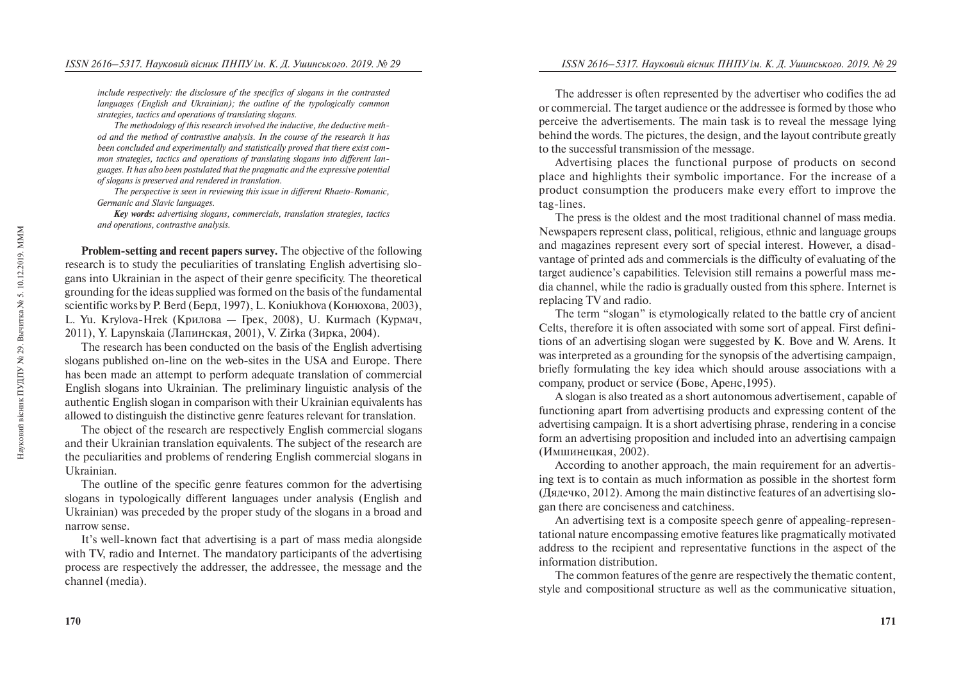*include respectively: the disclosure of the specifics of slogans in the contrasted languages (English and Ukrainian); the outline of the typologically common strategies, tactics and operations of translating slogans.* 

*The methodology of this research involved the inductive, the deductive method and the method of contrastive analysis. In the course of the research it has been concluded and experimentally and statistically proved that there exist common strategies, tactics and operations of translating slogans into different languages. It has also been postulated that the pragmatic and the expressive potential of slogans is preserved and rendered in translation.* 

*The perspective is seen in reviewing this issue in different Rhaeto-Romanic, Germanic and Slavic languages.* 

*Key words: advertising slogans, commercials, translation strategies, tactics and operations, contrastive analysis.* 

**Problem-setting and recent papers survey.** The objective of the following research is to study the peculiarities of translating English advertising slogans into Ukrainian in the aspect of their genre specificity. The theoretical grounding for the ideas supplied was formed on the basis of the fundamental scientific works by P. Berd (Берд, 1997), L. Koniukhova (Конюхова, 2003), L. Yu. Krylova-Hrek (Крилова — Грек, 2008), U. Kurmach (Курмач, 2011), Y. Lapynskaia (Лапинская, 2001), V. Zirka (Зирка, 2004).

The research has been conducted on the basis of the English advertising slogans published on-line on the web-sites in the USA and Europe. There has been made an attempt to perform adequate translation of commercial English slogans into Ukrainian. The preliminary linguistic analysis of the authentic English slogan in comparison with their Ukrainian equivalents has allowed to distinguish the distinctive genre features relevant for translation.

The object of the research are respectively English commercial slogans and their Ukrainian translation equivalents. The subject of the research are the peculiarities and problems of rendering English commercial slogans in Ukrainian.

The outline of the specific genre features common for the advertising slogans in typologically different languages under analysis (English and Ukrainian) was preceded by the proper study of the slogans in a broad and narrow sense.

It's well-known fact that advertising is a part of mass media alongside with TV, radio and Internet. The mandatory participants of the advertising process are respectively the addresser, the addressee, the message and the channel (media).

The addresser is often represented by the advertiser who codifies the ad or commercial. The target audience or the addressee is formed by those who perceive the advertisements. The main task is to reveal the message lying behind the words. The pictures, the design, and the layout contribute greatly to the successful transmission of the message.

Advertising places the functional purpose of products on second place and highlights their symbolic importance. For the increase of a product consumption the producers make every effort to improve the tag-lines.

The press is the oldest and the most traditional channel of mass media. Newspapers represent class, political, religious, ethnic and language groups and magazines represent every sort of special interest. However, a disadvantage of printed ads and commercials is the difficulty of evaluating of the target audience's capabilities. Television still remains a powerful mass media channel, while the radio is gradually ousted from this sphere. Internet is replacing TV and radio.

The term "slogan" is etymologically related to the battle cry of ancient Celts, therefore it is often associated with some sort of appeal. First definitions of an advertising slogan were suggested by K. Bove and W. Arens. It was interpreted as a grounding for the synopsis of the advertising campaign, briefly formulating the key idea which should arouse associations with a company, product or service (Бове, Аренс, 1995).

A slogan is also treated as a short autonomous advertisement, capable of functioning apart from advertising products and expressing content of the advertising campaign. It is a short advertising phrase, rendering in a concise form an advertising proposition and included into an advertising campaign (Имшинецкая, 2002).

According to another approach, the main requirement for an advertising text is to contain as much information as possible in the shortest form (Дядечко, 2012). Among the main distinctive features of an advertising slogan there are conciseness and catchiness.

An advertising text is a composite speech genre of appealing-representational nature encompassing emotive features like pragmatically motivated address to the recipient and representative functions in the aspect of the information distribution.

The common features of the genre are respectively the thematic content, style and compositional structure as well as the communicative situation,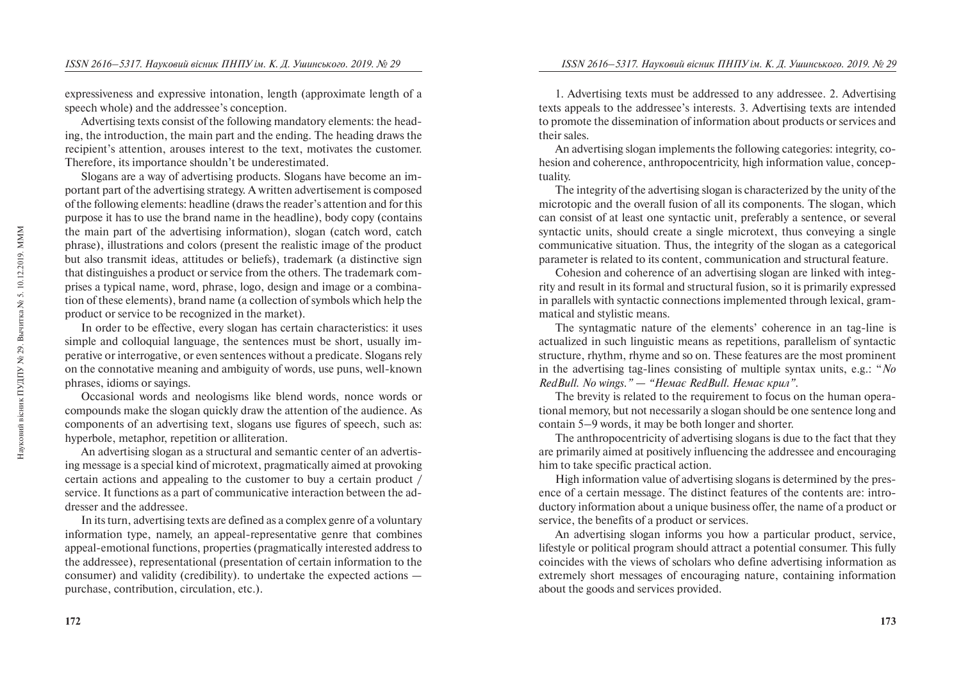expressiveness and expressive intonation, length (approximate length of a speech whole) and the addressee's conception.

Advertising texts consist of the following mandatory elements: the heading, the introduction, the main part and the ending. The heading draws the recipient's attention, arouses interest to the text, motivates the customer. Therefore, its importance shouldn't be underestimated.

Slogans are a way of advertising products. Slogans have become an important part of the advertising strategy. A written advertisement is composed of the following elements: headline (draws the reader's attention and for this purpose it has to use the brand name in the headline), body copy (contains the main part of the advertising information), slogan (catch word, catch phrase), illustrations and colors (present the realistic image of the product but also transmit ideas, attitudes or beliefs), trademark (a distinctive sign that distinguishes a product or service from the others. The trademark comprises a typical name, word, phrase, logo, design and image or a combination of these elements), brand name (a collection of symbols which help the product or service to be recognized in the market).

In order to be effective, every slogan has certain characteristics: it uses simple and colloquial language, the sentences must be short, usually imperative or interrogative, or even sentences without a predicate. Slogans rely on the connotative meaning and ambiguity of words, use puns, well-known phrases, idioms or sayings.

Occasional words and neologisms like blend words, nonce words or compounds make the slogan quickly draw the attention of the audience. As components of an advertising text, slogans use figures of speech, such as: hyperbole, metaphor, repetition or alliteration.

An advertising slogan as a structural and semantic center of an advertising message is a special kind of microtext, pragmatically aimed at provoking certain actions and appealing to the customer to buy a certain product / service. It functions as a part of communicative interaction between the addresser and the addressee.

In its turn, advertising texts are defined as a complex genre of a voluntary information type, namely, an appeal-representative genre that combines appeal-emotional functions, properties (pragmatically interested address to the addressee), representational (presentation of certain information to the consumer) and validity (credibility). to undertake the expected actions purchase, contribution, circulation, etc.).

1. Advertising texts must be addressed to any addressee. 2. Advertising texts appeals to the addressee's interests. 3. Advertising texts are intended to promote the dissemination of information about products or services and their sales.

An advertising slogan implements the following categories: integrity, cohesion and coherence, anthropocentricity, high information value, conceptuality.

The integrity of the advertising slogan is characterized by the unity of the microtopic and the overall fusion of all its components. The slogan, which can consist of at least one syntactic unit, preferably a sentence, or several syntactic units, should create a single microtext, thus conveying a single communicative situation. Thus, the integrity of the slogan as a categorical parameter is related to its content, communication and structural feature.

Cohesion and coherence of an advertising slogan are linked with integrity and result in its formal and structural fusion, so it is primarily expressed in parallels with syntactic connections implemented through lexical, grammatical and stylistic means.

The syntagmatic nature of the elements' coherence in an tag-line is actualized in such linguistic means as repetitions, parallelism of syntactic structure, rhythm, rhyme and so on. These features are the most prominent in the advertising tag-lines consisting of multiple syntax units, e.g.: "*No RedBull. No wings." — "Немає RedBull. Немає крил".* 

The brevity is related to the requirement to focus on the human operational memory, but not necessarily a slogan should be one sentence long and contain 5–9 words, it may be both longer and shorter.

The anthropocentricity of advertising slogans is due to the fact that they are primarily aimed at positively influencing the addressee and encouraging him to take specific practical action.

High information value of advertising slogans is determined by the presence of a certain message. The distinct features of the contents are: introductory information about a unique business offer, the name of a product or service, the benefits of a product or services.

An advertising slogan informs you how a particular product, service, lifestyle or political program should attract a potential consumer. This fully coincides with the views of scholars who define advertising information as extremely short messages of encouraging nature, containing information about the goods and services provided.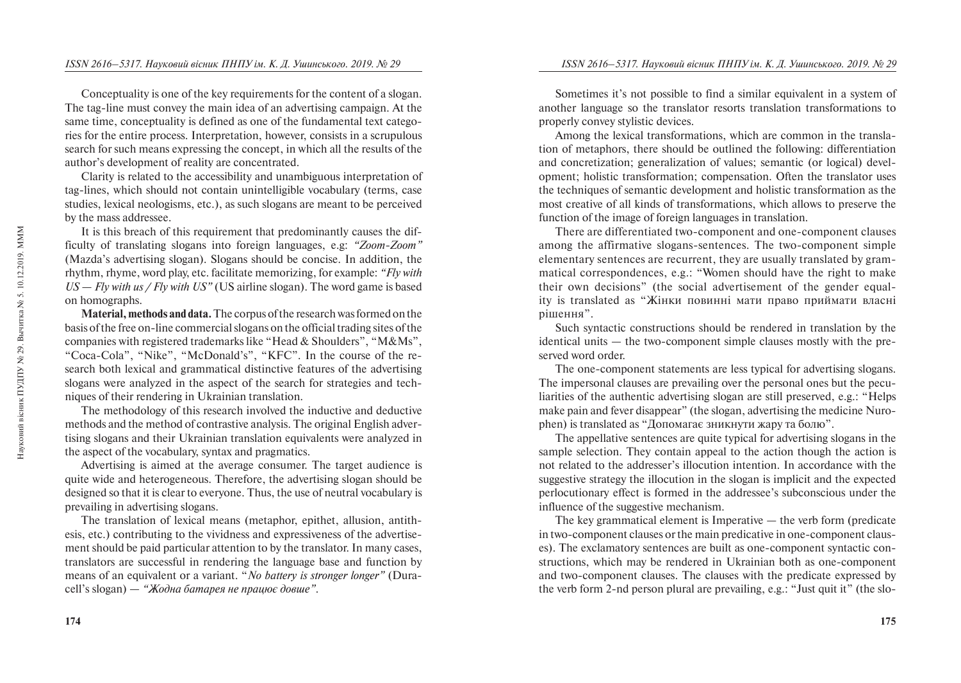Conceptuality is one of the key requirements for the content of a slogan. The tag-line must convey the main idea of an advertising campaign. At the same time, conceptuality is defined as one of the fundamental text categories for the entire process. Interpretation, however, consists in a scrupulous search for such means expressing the concept, in which all the results of the author's development of reality are concentrated.

Clarity is related to the accessibility and unambiguous interpretation of tag-lines, which should not contain unintelligible vocabulary (terms, case studies, lexical neologisms, etc.), as such slogans are meant to be perceived by the mass addressee.

It is this breach of this requirement that predominantly causes the difficulty of translating slogans into foreign languages, e.g: *"Zoom-Zoom"* (Mazda's advertising slogan). Slogans should be concise. In addition, the rhythm, rhyme, word play, etc. facilitate memorizing, for example: *"Fly with US — Fly with us / Fly with US"* (US airline slogan). The word game is based on homographs.

**Material, methods and data.** The corpus of the research was formed on the basis of the free on-line commercial slogans on the official trading sites of the companies with registered trademarks like "Head & Shoulders", "M&Ms", "Coca-Cola", "Nike", "McDonald's", "KFC". In the course of the research both lexical and grammatical distinctive features of the advertising slogans were analyzed in the aspect of the search for strategies and techniques of their rendering in Ukrainian translation.

The methodology of this research involved the inductive and deductive methods and the method of contrastive analysis. The original English advertising slogans and their Ukrainian translation equivalents were analyzed in the aspect of the vocabulary, syntax and pragmatics.

Advertising is aimed at the average consumer. The target audience is quite wide and heterogeneous. Therefore, the advertising slogan should be designed so that it is clear to everyone. Thus, the use of neutral vocabulary is prevailing in advertising slogans.

The translation of lexical means (metaphor, epithet, allusion, antithesis, etc.) contributing to the vividness and expressiveness of the advertisement should be paid particular attention to by the translator. In many cases, translators are successful in rendering the language base and function by means of an equivalent or a variant. "*No battery is stronger longer"* (Duracell's slogan) — *"Жодна батарея не працює довше"*.

Sometimes it's not possible to find a similar equivalent in a system of another language so the translator resorts translation transformations to properly convey stylistic devices.

Among the lexical transformations, which are common in the translation of metaphors, there should be outlined the following: differentiation and concretization; generalization of values; semantic (or logical) development; holistic transformation; compensation. Often the translator uses the techniques of semantic development and holistic transformation as the most creative of all kinds of transformations, which allows to preserve the function of the image of foreign languages in translation.

There are differentiated two-component and one-component clauses among the affirmative slogans-sentences. The two-component simple elementary sentences are recurrent, they are usually translated by grammatical correspondences, e.g.: "Women should have the right to make their own decisions" (the social advertisement of the gender equality is translated as "Жінки повинні мати право приймати власні рішення".

Such syntactic constructions should be rendered in translation by the identical units — the two-component simple clauses mostly with the preserved word order.

The one-component statements are less typical for advertising slogans. The impersonal clauses are prevailing over the personal ones but the peculiarities of the authentic advertising slogan are still preserved, e.g.: "Helps make pain and fever disappear" (the slogan, advertising the medicine Nurophen) is translated as "Допомагає зникнути жару та болю".

The appellative sentences are quite typical for advertising slogans in the sample selection. They contain appeal to the action though the action is not related to the addresser's illocution intention. In accordance with the suggestive strategy the illocution in the slogan is implicit and the expected perlocutionary effect is formed in the addressee's subconscious under the influence of the suggestive mechanism.

The key grammatical element is Imperative — the verb form (predicate in two-component clauses or the main predicative in one-component clauses). The exclamatory sentences are built as one-component syntactic constructions, which may be rendered in Ukrainian both as one-component and two-component clauses. The clauses with the predicate expressed by the verb form 2-nd person plural are prevailing, e.g.: "Just quit it" (the slo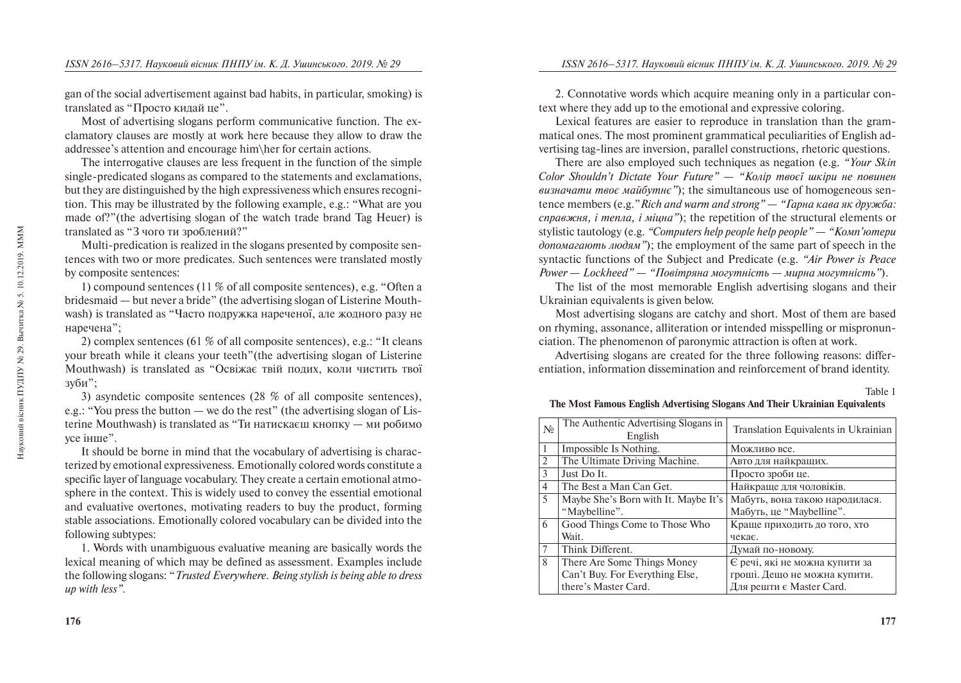gan of the social advertisement against bad habits, in particular, smoking) is translated as "Просто кидай це".

Most of advertising slogans perform communicative function. The exclamatory clauses are mostly at work here because they allow to draw the addressee's attention and encourage him\her for certain actions.

The interrogative clauses are less frequent in the function of the simple single-predicated slogans as compared to the statements and exclamations, but they are distinguished by the high expressiveness which ensures recognition. This may be illustrated by the following example, e.g.: "What are you made of?"(the advertising slogan of the watch trade brand Tag Heuer) is translated as "З чого ти зроблений?"

Multi-predication is realized in the slogans presented by composite sentences with two or more predicates. Such sentences were translated mostly by composite sentences:

1) compound sentences (11 % of all composite sentences), e.g. "Often a bridesmaid — but never a bride" (the advertising slogan of Listerine Mouthwash) is translated as "Часто подружка нареченої, але жодного разу не наречена";

2) complex sentences (61 % of all composite sentences), e.g.: "It cleans your breath while it cleans your teeth"(the advertising slogan of Listerine Mouthwash) is translated as "Освіжає твій подих, коли чистить твої зуби";

3) asyndetic composite sentences (28 % of all composite sentences), e.g.: "You press the button — we do the rest" (the advertising slogan of Listerine Mouthwash) is translated as "Ти натискаєш кнопку — ми робимо vce inme".

It should be borne in mind that the vocabulary of advertising is characterized by emotional expressiveness. Emotionally colored words constitute a specific layer of language vocabulary. They create a certain emotional atmosphere in the context. This is widely used to convey the essential emotional and evaluative overtones, motivating readers to buy the product, forming stable associations. Emotionally colored vocabulary can be divided into the following subtypes:

1. Words with unambiguous evaluative meaning are basically words the lexical meaning of which may be defined as assessment. Examples include the following slogans: "*Trusted Everywhere. Being stylish is being able to dress up with less".*

2. Connotative words which acquire meaning only in a particular context where they add up to the emotional and expressive coloring.

Lexical features are easier to reproduce in translation than the grammatical ones. The most prominent grammatical peculiarities of English advertising tag-lines are inversion, parallel constructions, rhetoric questions.

There are also employed such techniques as negation (e.g. *"Your Skin Color Shouldn't Dictate Your Future"* — "Колір твоєї шкіри не повинен  $a$ *a* $a$ <sup>2</sup> *a* $a$ <sup>2</sup> *a* $a$ <sup>2</sup> *a* $a$ <sup>2</sup> *a* $a$ <sup>2</sup> *i*</sup> *b*<sub>2</sub> *i*<sup>2</sup> *i*<sup>2</sup> *i*<sup>2</sup> *i*<sup>2</sup> *i*<sup>2</sup> *i*<sup>2</sup> *i*<sup>2</sup> *i*<sup>2</sup> *i*<sup>2</sup> *i*<sup>2</sup> *i*<sup>2</sup> *i*<sup>2</sup> *i*<sup>2</sup> *i*<sup>2</sup> *i*<sup>2</sup> *i*<sup>2</sup> *i*<sup>2</sup> *i*<sup>2</sup> *i*<sup>2</sup> *i*<sup>2</sup> *i*<sup>2</sup> *i*<sup>2</sup> *j* tence members (e.g."*Rich and warm and strong" — "Гарна кава як дружба: cправжня, і тепла, і міцна*"); the repetition of the structural elements or stylistic tautology (e.g. *"Computers help people help people"* — *"Komn'tomepu допомагають людям*"); the employment of the same part of speech in the syntactic functions of the Subject and Predicate (e.g. *"Air Power is Peace Power — Lockheed" — "Повітряна могутність — мирна могутність"*).

The list of the most memorable English advertising slogans and their Ukrainian equivalents is given below.

Most advertising slogans are catchy and short. Most of them are based on rhyming, assonance, alliteration or intended misspelling or mispronunciation. The phenomenon of paronymic attraction is often at work.

Advertising slogans are created for the three following reasons: differentiation, information dissemination and reinforcement of brand identity.

## **The Most Famous English Advertising Slogans And Their Ukrainian Equivalents**

| N <sub>0</sub> | The Authentic Advertising Slogans in<br>English | Translation Equivalents in Ukrainian |
|----------------|-------------------------------------------------|--------------------------------------|
|                | Impossible Is Nothing.                          | Можливо все.                         |
| $\overline{2}$ | The Ultimate Driving Machine.                   | Авто для найкращих.                  |
| $\mathcal{R}$  | Just Do It.                                     | Просто зроби це.                     |
| 4              | The Best a Man Can Get.                         | Найкраще для чоловіків.              |
| 5              | Maybe She's Born with It. Maybe It's            | Мабуть, вона такою народилася.       |
|                | "Maybelline".                                   | Мабуть, це "Maybelline".             |
| 6              | Good Things Come to Those Who                   | Краще приходить до того, хто         |
|                | Wait.                                           | чекає.                               |
| 7              | Think Different.                                | Думай по-новому.                     |
| 8              | There Are Some Things Money                     | Є речі, які не можна купити за       |
|                | Can't Buy. For Everything Else,                 | гроші. Дещо не можна купити.         |
|                | there's Master Card.                            | Для решти є Master Card.             |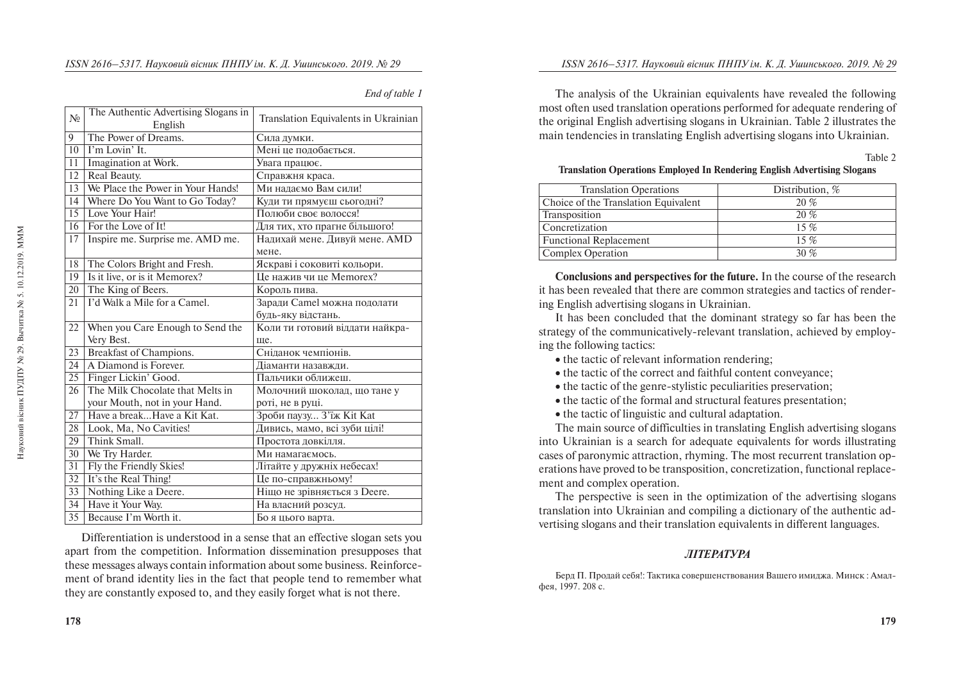|  |  | End of table 1 |  |
|--|--|----------------|--|
|--|--|----------------|--|

| $N_{2}$         | The Authentic Advertising Slogans in | Translation Equivalents in Ukrainian |  |
|-----------------|--------------------------------------|--------------------------------------|--|
|                 | English                              |                                      |  |
| 9               | The Power of Dreams.                 | Сила думки.                          |  |
| 10              | I'm Lovin' It.                       | Мені це подобається.                 |  |
| 11              | Imagination at Work.                 | Увага працює.                        |  |
| 12              | Real Beauty.                         | Справжня краса.                      |  |
| 13              | We Place the Power in Your Hands!    | Ми надаємо Вам сили!                 |  |
| 14              | Where Do You Want to Go Today?       | Куди ти прямуєш сьогодні?            |  |
| 15              | Love Your Hair!                      | Полюби своє волосся!                 |  |
| 16              | For the Love of It!                  | Для тих, хто прагне більшого!        |  |
| 17              | Inspire me. Surprise me. AMD me.     | Надихай мене. Дивуй мене. AMD        |  |
|                 |                                      | мене.                                |  |
| 18              | The Colors Bright and Fresh.         | Яскраві і соковиті кольори.          |  |
| 19              | Is it live, or is it Memorex?        | Це нажив чи це Метогех?              |  |
| 20              | The King of Beers.                   | Король пива.                         |  |
| 21              | I'd Walk a Mile for a Camel.         | Заради Camel можна подолати          |  |
|                 |                                      | будь-яку відстань.                   |  |
| 22              | When you Care Enough to Send the     | Коли ти готовий віддати найкра-      |  |
|                 | Very Best.                           | ще.                                  |  |
| 23              | Breakfast of Champions.              | Сніланок чемпіонів.                  |  |
| 24              | A Diamond is Forever.                | Діаманти назавжди.                   |  |
| 25              | Finger Lickin' Good.                 | Пальчики оближеш.                    |  |
| 26              | The Milk Chocolate that Melts in     | Молочний шоколад, що тане у          |  |
|                 | your Mouth, not in your Hand.        | роті, не в руці.                     |  |
| 27              | Have a breakHave a Kit Kat.          | Зроби паузу З'їж Kit Kat             |  |
| 28              | Look, Ma, No Cavities!               | Дивись, мамо, всі зуби цілі!         |  |
| 29              | Think Small.                         | Простота довкілля.                   |  |
| 30              | We Try Harder.                       | Ми намагаємось.                      |  |
| 31              | Fly the Friendly Skies!              | Літайте у дружніх небесах!           |  |
| $\overline{32}$ | It's the Real Thing!                 | Це по-справжньому!                   |  |
| $\overline{33}$ | Nothing Like a Deere.                | Ніщо не зрівняється з Deere.         |  |
| 34              | Have it Your Way.                    | На власний розсуд.                   |  |
| $\overline{35}$ | Because I'm Worth it.                | Бо я цього варта.                    |  |

Differentiation is understood in a sense that an effective slogan sets you apart from the competition. Information dissemination presupposes that these messages always contain information about some business. Reinforcement of brand identity lies in the fact that people tend to remember what they are constantly exposed to, and they easily forget what is not there.

The analysis of the Ukrainian equivalents have revealed the following most often used translation operations performed for adequate rendering of the original English advertising slogans in Ukrainian. Table 2 illustrates the main tendencies in translating English advertising slogans into Ukrainian.

Table 2

## **Translation Operations Employed In Rendering English Advertising Slogans**

| <b>Translation Operations</b>        | Distribution, $%$ |
|--------------------------------------|-------------------|
| Choice of the Translation Equivalent | 20%               |
| Transposition                        | 20%               |
| Concretization                       | $15\%$            |
| <b>Functional Replacement</b>        | $15\%$            |
| Complex Operation                    | 30 $%$            |

**Conclusions and perspectives for the future.** In the course of the research it has been revealed that there are common strategies and tactics of rendering English advertising slogans in Ukrainian.

It has been concluded that the dominant strategy so far has been the strategy of the communicatively-relevant translation, achieved by employing the following tactics:

- the tactic of relevant information rendering;
- the tactic of the correct and faithful content conveyance:
- $\bullet$  the tactic of the genre-stylistic peculiarities preservation;
- the tactic of the formal and structural features presentation:
- the tactic of linguistic and cultural adaptation.

The main source of difficulties in translating English advertising slogans into Ukrainian is a search for adequate equivalents for words illustrating cases of paronymic attraction, rhyming. The most recurrent translation operations have proved to be transposition, concretization, functional replacement and complex operation.

The perspective is seen in the optimization of the advertising slogans translation into Ukrainian and compiling a dictionary of the authentic advertising slogans and their translation equivalents in different languages.

## *MITEPATYPA*

Берд П. Продай себя!: Тактика совершенствования Вашего имиджа. Минск : Амал- $\frac{1997}{208}$  c.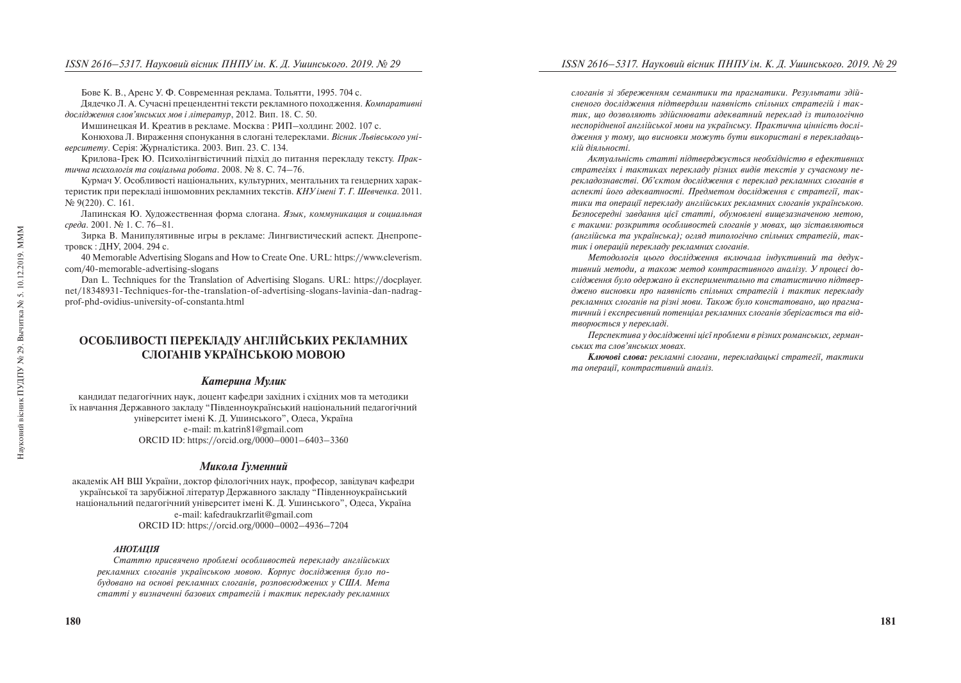Бове К. В., Аренс У. Ф. Современная реклама. Тольятти, 1995. 704 с.

Лялечко Л. А. Сучасні преценлентні тексти рекламного походження. Компаративні дослідження слов'янських мов і літератур, 2012. Вип. 18. С. 50.

Имшинецкая И. Креатив в рекламе. Москва: РИП–холдинг. 2002. 107 с.

Конюхова Л. Вираження спонукання в слогані телереклами. *Вісник Львівського університету*. Серія: Журналістика. 2003. Вип. 23. С. 134.

Крилова-Грек Ю. Психолінгвістичний підхід до питання перекладу тексту. Прак*mична психологія та соціальна робота*. 2008. № 8. С. 74–76.

Курмач У. Особливості національних, культурних, ментальних та гендерних характеристик при перекладі іншомовних рекламних текстів. *КНУ імені Т. Г. Шевченка*. 2011. № 9(220). C. 161.

Лапинская Ю. Хуложественная форма слогана. *Язык, коммуникашия и социальная*  $\alpha$ *peda.* 2001. № 1. C. 76–81.

Зирка В. Манипулятивные игры в рекламе: Лингвистический аспект. Днепропетровск: ЛНУ, 2004. 294 с.

40 Memorable Advertising Slogans and How to Create One. URL: https://www.cleverism. com/40-memorable-advertising-slogans

Dan L. Techniques for the Translation of Advertising Slogans. URL: https://docplayer. net/18348931-Techniques-for-the-translation-of-advertising-slogans-lavinia-dan-nadragprof-phd-ovidius-university-of-constanta.html

## ОСОБЛИВОСТІ ПЕРЕКЛАЛУ АНГЛІЙСЬКИХ РЕКЛАМНИХ **CJIOFAHIR VKPAÏHCLKOIO MOROIO**

## *Катерина Мулик*

кандидат педагогічних наук, доцент кафедри західних і східних мов та методики їх навчання Державного закладу "Південноукраїнський національний педагогічний університет імені К. Л. Ушинського", Олеса, Україна e-mail: m.katrin81@gmail.com ORCID ID: https://orcid.org/0000–0001–6403–3360

## Микола Гуменний

академік АН ВШ України, доктор філологічних наук, професор, завідувач кафедри української та зарубіжної літератур Державного закладу "Південноукраїнський національний пелагогічний університет імені К. Л. Ушинського". Олеса. Україна e-mail: kafedraukrzarlit@gmail.com ORCID ID: https://orcid.org/0000–0002–4936–7204

## *ÀÍÎÒÀÖ²ß*

Статтю присвячено проблемі особливостей перекладу англійських рекламних слоганів українською мовою. Корпус дослідження було по*áóäîâàíî íà îñíîâ³ ðåêëàìíèõ ñëîãàí³â, ðîçïîâñþäæåíèõ ó ÑØÀ. Ìåòà ñòàòò³ ó âèçíà÷åíí³ áàçîâèõ ñòðàòåã³é ³ òàêòèê ïåðåêëàäó ðåêëàìíèõ*  *ñëîãàí³â ç³ çáåðåæåííÿì ñåìàíòèêè òà ïðàãìàòèêè. Ðåçóëüòàòè çä³é*сненого дослідження підтвердили наявність спільних стратегій *і* так*тик*, що дозволяють здійснювати адекватний переклад із типологічно неспорідненої англійської мови на українську. Практична цінність дослідження у тому, що висновки можуть бути використані в перекладацькій діяльності.

*Àêòóàëüí³ñòü ñòàòò³ ï³äòâåðäæóºòüñÿ íåîáõ³äí³ñòþ â åôåêòèâíèõ cmpameгіях і тактиках перекладу різних видів текстів у сучасному пе*рекладознавстві. Об'єктом дослідження є переклад рекламних слоганів в аспекті його адекватності. Предметом дослідження є стратегії, так*тики та операції перекладу англійських рекламних слоганів українською.* Безпосередні завдання цієї статті, обумовлені вищезазначеною метою, *º òàêèìè: ðîçêðèòòÿ îñîáëèâîñòåé ñëîãàí³â ó ìîâàõ, ùî ç³ñòàâëÿþòüñÿ*  (англійська та українська); огляд типологічно спільних стратегій, так*тик і операцій перекладу рекламних слоганів.* 

Методологія цього дослідження включала індуктивний та дедук*тивний методи, а також метод контрастивного аналізу. У процесі до*слідження було одержано й експериментально та статистично підтверджено висновки про наявність спільних стратегій *і тактик перекладу рекламних слоганів на різні мови. Також було констатовано, що прагма*тичний *і експресивний потенціал рекламних слоганів* зберігається та від*mворюється у перекладі.* 

Перспектива у дослідженні цієї проблеми в різних романських, германських та слов'янських мовах.

**Ключові слова:** рекламні слогани, перекладацькі стратегії, тактики *ma операції, контрастивний аналіз.*